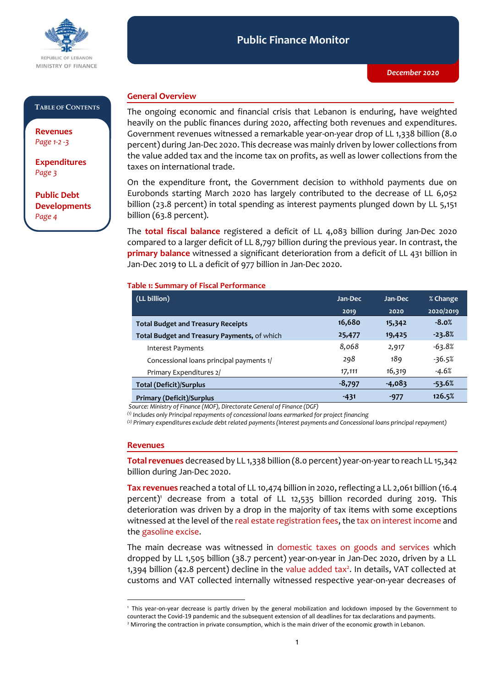

#### **Public Finance Monitor** *December 2020* **Public Finance Monitor**

#### **TABLE OF CONTENTS**

**Revenues**  *Page 1-2 -3*

**Expenditures**  *Page 3*

**Public Debt Developments** *Page 4*

## **General Overview**

The ongoing economic and financial crisis that Lebanon is enduring, have weighted heavily on the public finances during 2020, affecting both revenues and expenditures. Government revenues witnessed a remarkable year-on-year drop of LL 1,338 billion (8.0 percent) during Jan-Dec 2020. This decrease was mainly driven by lower collections from the value added tax and the income tax on profits, as well as lower collections from the taxes on international trade.

On the expenditure front, the Government decision to withhold payments due on Eurobonds starting March 2020 has largely contributed to the decrease of LL 6,052 billion (23.8 percent) in total spending as interest payments plunged down by LL 5,151 billion (63.8 percent).

The **total fiscal balance** registered a deficit of LL 4,083 billion during Jan-Dec 2020 compared to a larger deficit of LL 8,797 billion during the previous year. In contrast, the **primary balance** witnessed a significant deterioration from a deficit of LL 431 billion in Jan-Dec 2019 to LL a deficit of 977 billion in Jan-Dec 2020.

#### **Table 1: Summary of Fiscal Performance**

| (LL billion)                                 | Jan-Dec  | Jan-Dec  | % Change  |
|----------------------------------------------|----------|----------|-----------|
|                                              | 2019     | 2020     | 2020/2019 |
| <b>Total Budget and Treasury Receipts</b>    | 16,680   | 15,342   | $-8.0%$   |
| Total Budget and Treasury Payments, of which | 25,477   | 19,425   | $-23.8%$  |
| Interest Payments                            | 8,068    | 2,917    | $-63.8%$  |
| Concessional loans principal payments 1/     | 298      | 189      | $-36.5%$  |
| Primary Expenditures 2/                      | 17,111   | 16,319   | $-4.6%$   |
| <b>Total (Deficit)/Surplus</b>               | $-8,797$ | $-4,083$ | $-53.6%$  |
| <b>Primary (Deficit)/Surplus</b>             | $-431$   | $-977$   | 126.5%    |

*Source: Ministry of Finance (MOF), Directorate General of Finance (DGF)*

*(1) Includes only Principal repayments of concessional loans earmarked for project financing*

*(2) Primary expenditures exclude debt related payments (Interest payments and Concessional loans principal repayment)*

#### **Revenues**

-

Total revenues decreased by LL 1,338 billion (8.0 percent) year-on-year to reach LL 15,342 billion during Jan-Dec 2020.

**Tax revenues** reached a total of LL 10,474 billion in 2020, reflecting a LL 2,061 billion (16.4 percent)<sup>1</sup> decrease from a total of LL 12,535 billion recorded during 2019. This deterioration was driven by a drop in the majority of tax items with some exceptions witnessed at the level of the real estate registration fees, the tax on interest income and the gasoline excise.

The main decrease was witnessed in domestic taxes on goods and services which dropped by LL 1,505 billion (38.7 percent) year-on-year in Jan-Dec 2020, driven by a LL 1,394 billion (42.8 percent) decline in the value added tax<sup>2</sup>. In details, VAT collected at customs and VAT collected internally witnessed respective year-on-year decreases of

<sup>1</sup> This year-on-year decrease is partly driven by the general mobilization and lockdown imposed by the Government to counteract the Covid-19 pandemic and the subsequent extension of all deadlines for tax declarations and payments.

<sup>&</sup>lt;sup>2</sup> Mirroring the contraction in private consumption, which is the main driver of the economic growth in Lebanon.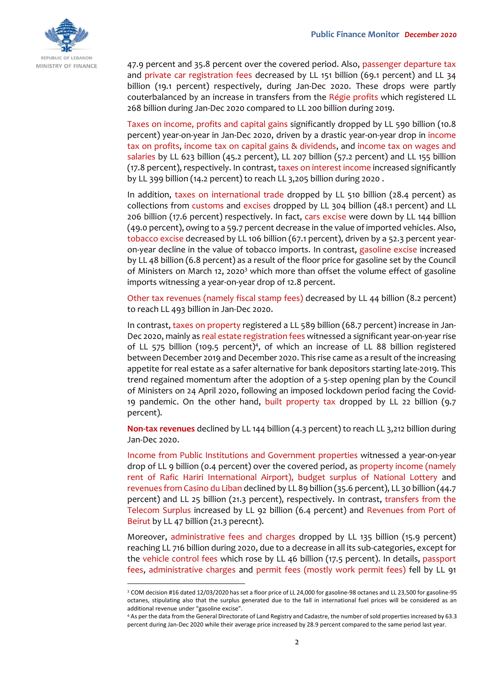

47.9 percent and 35.8 percent over the covered period. Also, passenger departure tax and private car registration fees decreased by LL 151 billion (69.1 percent) and LL 34 billion (19.1 percent) respectively, during Jan-Dec 2020. These drops were partly couterbalanced by an increase in transfers from the Régie profits which registered LL 268 billion during Jan-Dec 2020 compared to LL 200 billion during 2019.

Taxes on income, profits and capital gains significantly dropped by LL 590 billion (10.8 percent) year-on-year in Jan-Dec 2020, driven by a drastic year-on-year drop in income tax on profits, income tax on capital gains & dividends, and income tax on wages and salaries by LL 623 billion (45.2 percent), LL 207 billion (57.2 percent) and LL 155 billion (17.8 percent), respectively. In contrast, taxes on interest income increased significantly by LL 399 billion (14.2 percent) to reach LL 3,205 billion during 2020 .

In addition, taxes on international trade dropped by LL 510 billion (28.4 percent) as collections from customs and excises dropped by LL 304 billion (48.1 percent) and LL 206 billion (17.6 percent) respectively. In fact, cars excise were down by LL 144 billion (49.0 percent), owing to a 59.7 percent decrease in the value of imported vehicles. Also, tobacco excise decreased by LL 106 billion (67.1 percent), driven by a 52.3 percent yearon-year decline in the value of tobacco imports. In contrast, gasoline excise increased by LL 48 billion (6.8 percent) as a result of the floor price for gasoline set by the Council of Ministers on March 12, 2020<sup>3</sup> which more than offset the volume effect of gasoline imports witnessing a year-on-year drop of 12.8 percent.

Other tax revenues (namely fiscal stamp fees) decreased by LL 44 billion (8.2 percent) to reach LL 493 billion in Jan-Dec 2020.

In contrast, taxes on property registered a LL 589 billion (68.7 percent) increase in Jan-Dec 2020, mainly as real estate registration fees witnessed a significant year-on-year rise of LL 575 billion (109.5 percent)<sup>4</sup>, of which an increase of LL 88 billion registered between December 2019 and December 2020. This rise came as a result of the increasing appetite for real estate as a safer alternative for bank depositors starting late-2019. This trend regained momentum after the adoption of a 5-step opening plan by the Council of Ministers on 24 April 2020, following an imposed lockdown period facing the Covid-19 pandemic. On the other hand, built property tax dropped by LL 22 billion (9.7 percent).

**Non-tax revenues** declined by LL 144 billion (4.3 percent) to reach LL 3,212 billion during Jan-Dec 2020.

Income from Public Institutions and Government properties witnessed a year-on-year drop of LL 9 billion (0.4 percent) over the covered period, as property income (namely rent of Rafic Hariri International Airport), budget surplus of National Lottery and revenues from Casino du Liban declined by LL 89 billion (35.6 percent), LL 30 billion (44.7 percent) and LL 25 billion (21.3 percent), respectively. In contrast, transfers from the Telecom Surplus increased by LL 92 billion (6.4 percent) and Revenues from Port of Beirut by LL 47 billion (21.3 perecnt).

Moreover, administrative fees and charges dropped by LL 135 billion (15.9 percent) reaching LL 716 billion during 2020, due to a decrease in all its sub-categories, except for the vehicle control fees which rose by LL 46 billion (17.5 percent). In details, passport fees, administrative charges and permit fees (mostly work permit fees) fell by LL 91

-

<sup>3</sup> COM decision #16 dated 12/03/2020 has set a floor price of LL 24,000 for gasoline-98 octanes and LL 23,500 for gasoline-95 octanes, stipulating also that the surplus generated due to the fall in international fuel prices will be considered as an additional revenue under "gasoline excise".

<sup>4</sup> As per the data from the General Directorate of Land Registry and Cadastre, the number of sold properties increased by 63.3 percent during Jan-Dec 2020 while their average price increased by 28.9 percent compared to the same period last year.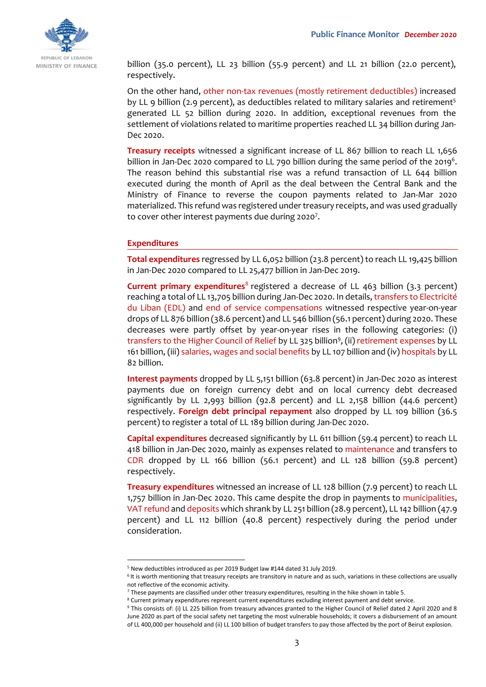

billion (35.0 percent), LL 23 billion (55.9 percent) and LL 21 billion (22.0 percent), respectively.

On the other hand, other non-tax revenues (mostly retirement deductibles) increased by LL 9 billion (2.9 percent), as deductibles related to military salaries and retirement<sup>5</sup> generated LL 52 billion during 2020. In addition, exceptional revenues from the settlement of violations related to maritime properties reached LL 34 billion during Jan-Dec 2020.

**Treasury receipts** witnessed a significant increase of LL 867 billion to reach LL 1,656 billion in Jan-Dec 2020 compared to LL 790 billion during the same period of the 2019<sup>6</sup>. The reason behind this substantial rise was a refund transaction of LL 644 billion executed during the month of April as the deal between the Central Bank and the Ministry of Finance to reverse the coupon payments related to Jan-Mar 2020 materialized. This refund was registered under treasury receipts, and was used gradually to cover other interest payments due during 2020<sup>7</sup>.

### **Expenditures**

-

**Total expenditures** regressed by LL 6,052 billion (23.8 percent) to reach LL 19,425 billion in Jan-Dec 2020 compared to LL 25,477 billion in Jan-Dec 2019.

**Current primary expenditures**<sup>8</sup> registered a decrease of LL 463 billion (3.3 percent) reaching a total of LL 13,705 billion during Jan-Dec 2020. In details, transfers to Electricité du Liban (EDL) and end of service compensations witnessed respective year-on-year drops of LL 876 billion (38.6 percent) and LL 546 billion (56.1 percent) during 2020. These decreases were partly offset by year-on-year rises in the following categories: (i) transfers to the Higher Council of Relief by LL 325 billion<sup>9</sup>, (ii) retirement expenses by LL 161 billion, (iii) salaries, wages and social benefits by LL 107 billion and (iv) hospitals by LL 82 billion.

**Interest payments** dropped by LL 5,151 billion (63.8 percent) in Jan-Dec 2020 as interest payments due on foreign currency debt and on local currency debt decreased significantly by LL 2,993 billion (92.8 percent) and LL 2,158 billion (44.6 percent) respectively. **Foreign debt principal repayment** also dropped by LL 109 billion (36.5 percent) to register a total of LL 189 billion during Jan-Dec 2020.

**Capital expenditures** decreased significantly by LL 611 billion (59.4 percent) to reach LL 418 billion in Jan-Dec 2020, mainly as expenses related to maintenance and transfers to CDR dropped by LL 166 billion (56.1 percent) and LL 128 billion (59.8 percent) respectively.

**Treasury expenditures** witnessed an increase of LL 128 billion (7.9 percent) to reach LL 1,757 billion in Jan-Dec 2020. This came despite the drop in payments to municipalities, VAT refund and deposits which shrank by LL 251 billion (28.9 percent), LL 142 billion (47.9 percent) and LL 112 billion (40.8 percent) respectively during the period under consideration.

<sup>5</sup> New deductibles introduced as per 2019 Budget law #144 dated 31 July 2019.

<sup>&</sup>lt;sup>6</sup> It is worth mentioning that treasury receipts are transitory in nature and as such, variations in these collections are usually not reflective of the economic activity.

<sup>7</sup> These payments are classified under other treasury expenditures, resulting in the hike shown in table 5.

<sup>8</sup> Current primary expenditures represent current expenditures excluding interest payment and debt service.

<sup>9</sup> This consists of: (i) LL 225 billion from treasury advances granted to the Higher Council of Relief dated 2 April 2020 and 8 June 2020 as part of the social safety net targeting the most vulnerable households; it covers a disbursement of an amount of LL 400,000 per household and (ii) LL 100 billion of budget transfers to pay those affected by the port of Beirut explosion.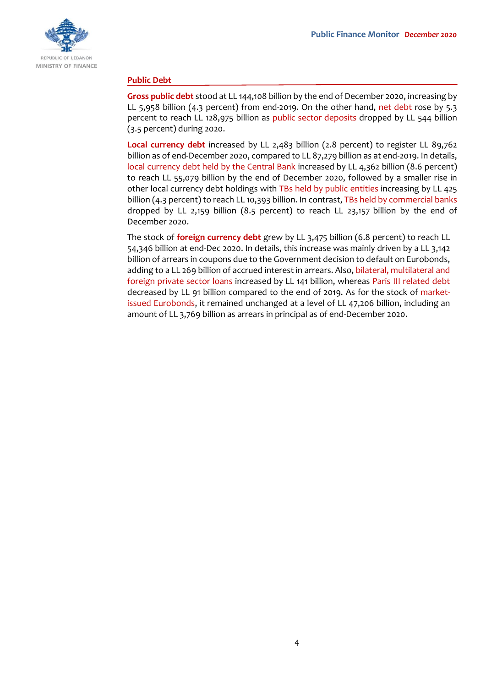

## **Public Debt**

**Gross public debt** stood at LL 144,108 billion by the end of December 2020, increasing by LL 5,958 billion (4.3 percent) from end-2019. On the other hand, net debt rose by 5.3 percent to reach LL 128,975 billion as public sector deposits dropped by LL 544 billion (3.5 percent) during 2020.

**Local currency debt** increased by LL 2,483 billion (2.8 percent) to register LL 89,762 billion as of end-December 2020, compared to LL 87,279 billion as at end-2019. In details, local currency debt held by the Central Bank increased by LL 4,362 billion (8.6 percent) to reach LL 55,079 billion by the end of December 2020, followed by a smaller rise in other local currency debt holdings with TBs held by public entities increasing by LL 425 billion (4.3 percent) to reach LL 10,393 billion. In contrast, TBs held by commercial banks dropped by LL 2,159 billion (8.5 percent) to reach LL 23,157 billion by the end of December 2020.

The stock of **foreign currency debt** grew by LL 3,475 billion (6.8 percent) to reach LL 54,346 billion at end-Dec 2020. In details, this increase was mainly driven by a LL 3,142 billion of arrears in coupons due to the Government decision to default on Eurobonds, adding to a LL 269 billion of accrued interest in arrears. Also, bilateral, multilateral and foreign private sector loans increased by LL 141 billion, whereas Paris III related debt decreased by LL 91 billion compared to the end of 2019. As for the stock of marketissued Eurobonds, it remained unchanged at a level of LL 47,206 billion, including an amount of LL 3,769 billion as arrears in principal as of end-December 2020.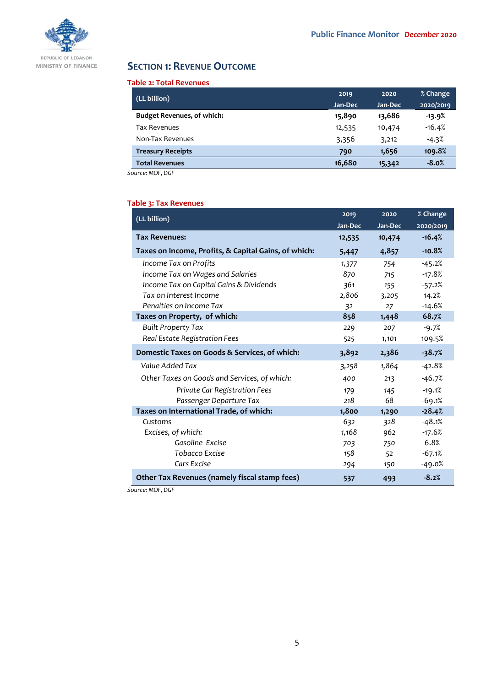

# **SECTION 1: REVENUE OUTCOME**

#### **Table 2: Total Revenues**

| (LL billion)                      | 2019    | 2020    | % Change  |
|-----------------------------------|---------|---------|-----------|
|                                   | Jan-Dec | Jan-Dec | 2020/2019 |
| <b>Budget Revenues, of which:</b> | 15,890  | 13,686  | $-13.9%$  |
| <b>Tax Revenues</b>               | 12,535  | 10,474  | $-16.4%$  |
| Non-Tax Revenues                  | 3,356   | 3,212   | $-4.3%$   |
| <b>Treasury Receipts</b>          | 790     | 1,656   | 109.8%    |
| <b>Total Revenues</b>             | 16,680  | 15,342  | $-8.0%$   |

*Source: MOF, DGF*

## **Table 3: Tax Revenues**

| (LL billion)                                         | 2019    | 2020    | % Change  |
|------------------------------------------------------|---------|---------|-----------|
|                                                      | Jan-Dec | Jan-Dec | 2020/2019 |
| <b>Tax Revenues:</b>                                 | 12,535  | 10,474  | $-16.4%$  |
| Taxes on Income, Profits, & Capital Gains, of which: | 5,447   | 4,857   | $-10.8%$  |
| Income Tax on Profits                                | 1,377   | 754     | $-45.2%$  |
| Income Tax on Wages and Salaries                     | 870     | 715     | $-17.8%$  |
| Income Tax on Capital Gains & Dividends              | 361     | 155     | $-57.2%$  |
| Tax on Interest Income                               | 2,806   | 3,205   | 14.2%     |
| Penalties on Income Tax                              | 32      | 27      | $-14.6%$  |
| Taxes on Property, of which:                         | 858     | 1,448   | 68.7%     |
| <b>Built Property Tax</b>                            | 229     | 207     | $-9.7%$   |
| Real Estate Registration Fees                        | 525     | 1,101   | 109.5%    |
| Domestic Taxes on Goods & Services, of which:        | 3,892   | 2,386   | $-38.7%$  |
| Value Added Tax                                      | 3,258   | 1,864   | $-42.8%$  |
| Other Taxes on Goods and Services, of which:         | 400     | 213     | $-46.7%$  |
| Private Car Registration Fees                        | 179     | 145     | $-19.1%$  |
| Passenger Departure Tax                              | 218     | 68      | $-69.1%$  |
| Taxes on International Trade, of which:              | 1,800   | 1,290   | $-28.4%$  |
| Customs                                              | 632     | 328     | $-48.1%$  |
| Excises, of which:                                   | 1,168   | 962     | $-17.6%$  |
| Gasoline Excise                                      | 703     | 750     | 6.8%      |
| Tobacco Excise                                       | 158     | 52      | $-67.1%$  |
| Cars Excise                                          | 294     | 150     | $-49.0%$  |
| Other Tax Revenues (namely fiscal stamp fees)        | 537     | 493     | $-8.2%$   |

*Source: MOF, DGF*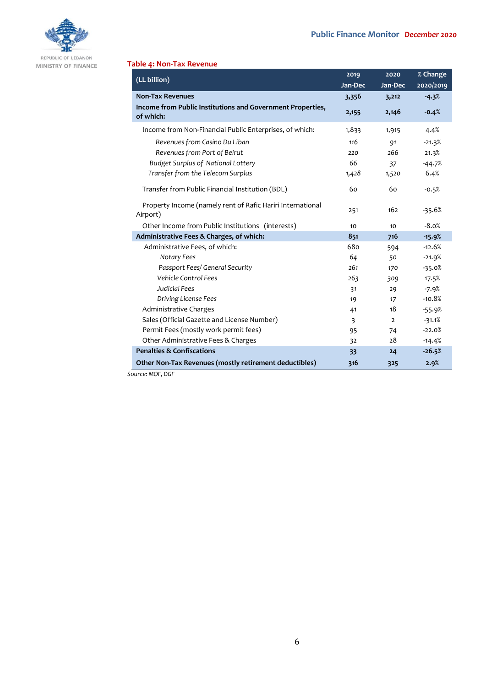

REPUBLIC OF LEBANON MINISTRY OF FINANCE

## **Table 4: Non-Tax Revenue**

| (LL billion)                                                            | 2019    | 2020           | % Change  |
|-------------------------------------------------------------------------|---------|----------------|-----------|
|                                                                         | Jan-Dec | Jan-Dec        | 2020/2019 |
| <b>Non-Tax Revenues</b>                                                 | 3,356   | 3,212          | $-4.3%$   |
| Income from Public Institutions and Government Properties,<br>of which: | 2,155   | 2,146          | $-0.4%$   |
| Income from Non-Financial Public Enterprises, of which:                 | 1,833   | 1,915          | 4.4%      |
| Revenues from Casino Du Liban                                           | 116     | 91             | $-21.3%$  |
| Revenues from Port of Beirut                                            | 220     | 266            | 21.3%     |
| <b>Budget Surplus of National Lottery</b>                               | 66      | 37             | $-44.7%$  |
| Transfer from the Telecom Surplus                                       | 1,428   | 1,520          | 6.4%      |
| Transfer from Public Financial Institution (BDL)                        | 60      | 60             | $-0.5%$   |
| Property Income (namely rent of Rafic Hariri International<br>Airport)  | 251     | 162            | $-35.6%$  |
| Other Income from Public Institutions (interests)                       | 10      | 10             | $-8.0%$   |
| Administrative Fees & Charges, of which:                                | 851     | 716            | $-15.9%$  |
| Administrative Fees, of which:                                          | 680     | 594            | $-12.6%$  |
| Notary Fees                                                             | 64      | 50             | $-21.9%$  |
| Passport Fees/ General Security                                         | 261     | 170            | $-35.0%$  |
| <b>Vehicle Control Fees</b>                                             | 263     | 309            | 17.5%     |
| <b>Judicial Fees</b>                                                    | 31      | 29             | $-7.9%$   |
| Driving License Fees                                                    | 19      | 17             | $-10.8%$  |
| Administrative Charges                                                  | 41      | 18             | $-55.9%$  |
| Sales (Official Gazette and License Number)                             | 3       | $\overline{2}$ | $-31.1%$  |
| Permit Fees (mostly work permit fees)                                   | 95      | 74             | $-22.0%$  |
| Other Administrative Fees & Charges                                     | 32      | 28             | $-14.4%$  |
| <b>Penalties &amp; Confiscations</b>                                    | 33      | 24             | $-26.5%$  |
| Other Non-Tax Revenues (mostly retirement deductibles)<br>C             | 316     | 325            | 2.9%      |

*Source: MOF, DGF*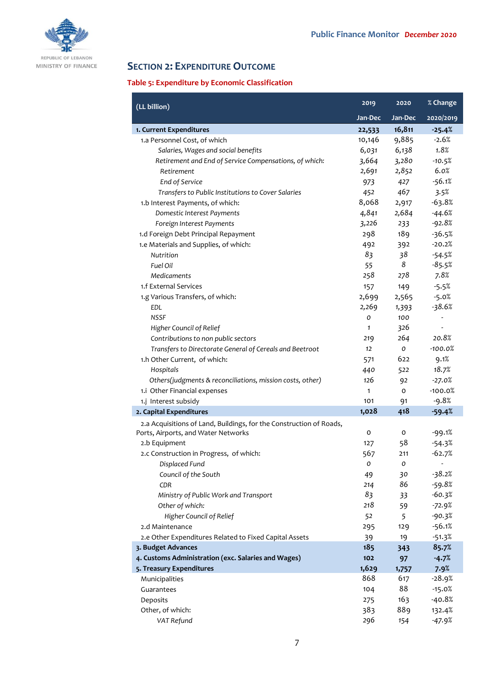

# **SECTION 2: EXPENDITURE OUTCOME**

# **Table 5: Expenditure by Economic Classification**

| (LL billion)                                                        | 2019    | 2020         | % Change                 |
|---------------------------------------------------------------------|---------|--------------|--------------------------|
|                                                                     | Jan-Dec | Jan-Dec      | 2020/2019                |
| 1. Current Expenditures                                             | 22,533  | 16,811       | $-25.4%$                 |
| 1.a Personnel Cost, of which                                        | 10,146  | 9,885        | $-2.6%$                  |
| Salaries, Wages and social benefits                                 | 6,031   | 6,138        | 1.8%                     |
| Retirement and End of Service Compensations, of which:              | 3,664   | 3,280        | $-10.5%$                 |
| Retirement                                                          | 2,691   | 2,852        | 6.0%                     |
| End of Service                                                      | 973     | 427          | $-56.1%$                 |
| Transfers to Public Institutions to Cover Salaries                  | 452     | 467          | 3.5%                     |
| 1.b Interest Payments, of which:                                    | 8,068   | 2,917        | $-63.8%$                 |
| Domestic Interest Payments                                          | 4,841   | 2,684        | $-44.6%$                 |
| Foreign Interest Payments                                           | 3,226   | 233          | $-92.8%$                 |
| 1.d Foreign Debt Principal Repayment                                | 298     | 189          | $-36.5%$                 |
| 1.e Materials and Supplies, of which:                               | 492     | 392          | $-20.2%$                 |
| Nutrition                                                           | 83      | 38           | $-54.5%$                 |
| Fuel Oil                                                            | 55      | 8            | $-85.5%$                 |
| Medicaments                                                         | 258     | 278          | 7.8%                     |
| 1.f External Services                                               | 157     | 149          | $-5.5%$                  |
| 1.g Various Transfers, of which:                                    | 2,699   | 2,565        | $-5.0%$                  |
| <b>EDL</b>                                                          | 2,269   | 1,393        | $-38.6%$                 |
| <b>NSSF</b>                                                         | 0       | 100          |                          |
| Higher Council of Relief                                            | 1       | 326          | $\overline{\phantom{m}}$ |
| Contributions to non public sectors                                 | 219     | 264          | 20.8%                    |
| Transfers to Directorate General of Cereals and Beetroot            | 12      | O            | $-100.0%$                |
| 1.h Other Current, of which:                                        | 571     | 622          | 9.1%                     |
| Hospitals                                                           | 440     | 522          | 18.7%                    |
| Others(judgments & reconciliations, mission costs, other)           | 126     | 92           | $-27.0%$                 |
| 1.i Other Financial expenses                                        | 1       | $\mathsf{o}$ | $-100.0%$                |
| 1.j Interest subsidy                                                | 101     | 91           | $-9.8%$                  |
| 2. Capital Expenditures                                             | 1,028   | 418          | $-59.4%$                 |
| 2.a Acquisitions of Land, Buildings, for the Construction of Roads, |         |              |                          |
| Ports, Airports, and Water Networks                                 | o       | 0            | $-99.1%$                 |
| 2.b Equipment                                                       | 127     | 58           | $-54.3%$                 |
| 2.c Construction in Progress, of which:                             | 567     | 211          | $-62.7%$                 |
| Displaced Fund                                                      | 0       | 0            | $\frac{1}{2}$            |
| Council of the South                                                | 49      | 30           | $-38.2%$                 |
| CDR                                                                 | 214     | 86           | $-59.8%$                 |
| Ministry of Public Work and Transport                               | 83      | 33           | $-60.3%$                 |
| Other of which:                                                     | 218     | 59           | $-72.9%$                 |
| Higher Council of Relief                                            | 52      | 5            | $-90.3%$                 |
| 2.d Maintenance                                                     | 295     | 129          | $-56.1%$                 |
| 2.e Other Expenditures Related to Fixed Capital Assets              | 39      | 19           | $-51.3%$                 |
| 3. Budget Advances                                                  | 185     | 343          | 85.7%                    |
| 4. Customs Administration (exc. Salaries and Wages)                 | 102     | 97           | $-4.7%$                  |
| 5. Treasury Expenditures                                            | 1,629   | 1,757        | 7.9%                     |
| Municipalities                                                      | 868     | 617          | $-28.9%$                 |
| Guarantees                                                          | 104     | 88           | $-15.0%$                 |
| Deposits                                                            | 275     | 163          | $-40.8%$                 |
| Other, of which:                                                    | 383     | 889          | 132.4%                   |
| VAT Refund                                                          | 296     | 154          | $-47.9%$                 |
|                                                                     |         |              |                          |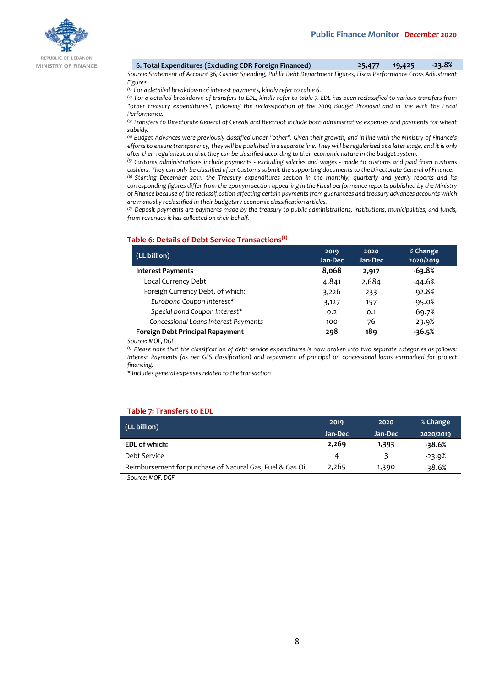

MINISTRY OF FINANCE

| 6. Total Expenditures (Excluding CDR Foreign Financed) | 25,477 | 19,425 | $-23.8%$ |
|--------------------------------------------------------|--------|--------|----------|
|--------------------------------------------------------|--------|--------|----------|

*Source: Statement of Account 36, Cashier Spending, Public Debt Department Figures, Fiscal Performance Gross Adjustment Figures*

*(1) For a detailed breakdown of interest payments, kindly refer to table 6.*

*(2) For a detailed breakdown of transfers to EDL, kindly refer to table 7. EDL has been reclassified to various transfers from "other treasury expenditures", following the reclassification of the 2009 Budget Proposal and in line with the Fiscal Performance.*

*(3) Transfers to Directorate General of Cereals and Beetroot include both administrative expenses and payments for wheat subsidy.*

*(4) Budget Advances were previously classified under "other". Given their growth, and in line with the Ministry of Finance's efforts to ensure transparency, they will be published in a separate line. They will be regularized at a later stage, and it is only after their regularization that they can be classified according to their economic nature in the budget system.*

*(5) Customs administrations include payments - excluding salaries and wages - made to customs and paid from customs cashiers. They can only be classified after Customs submit the supporting documents to the Directorate General of Finance. (6) Starting December 2011, the Treasury expenditures section in the monthly, quarterly and yearly reports and its corresponding figures differ from the eponym section appearing in the Fiscal performance reports published by the Ministry of Finance because of the reclassification affecting certain payments from guarantees and treasury advances accounts which are manually reclassified in their budgetary economic classification articles.*

*(7) Deposit payments are payments made by the treasury to public administrations, institutions, municipalities, and funds, from revenues it has collected on their behalf.*

## **Table 6: Details of Debt Service Transactions(1)**

| (LL billion)                         | 2019<br>Jan-Dec | 2020<br>Jan-Dec | % Change<br>2020/2019 |
|--------------------------------------|-----------------|-----------------|-----------------------|
| <b>Interest Payments</b>             | 8,068           | 2,917           | $-63.8%$              |
| Local Currency Debt                  | 4,841           | 2,684           | -44.6%                |
| Foreign Currency Debt, of which:     | 3,226           | 233             | $-92.8%$              |
| Eurobond Coupon Interest*            | 3,127           | 157             | $-95.0%$              |
| Special bond Coupon Interest*        | 0.2             | 0.1             | $-69.7%$              |
| Concessional Loans Interest Payments | 100             | 76              | $-23.9%$              |
| Foreign Debt Principal Repayment     | 298             | 189             | $-36.5%$              |

*Source: MOF, DGF*

*(1) Please note that the classification of debt service expenditures is now broken into two separate categories as follows: Interest Payments (as per GFS classification) and repayment of principal on concessional loans earmarked for project financing.*

*\* Includes general expenses related to the transaction*

#### **Table 7: Transfers to EDL**

| (LL billion)                                              | 2019    | 2020    | % Change  |
|-----------------------------------------------------------|---------|---------|-----------|
|                                                           | Jan-Dec | Jan-Dec | 2020/2019 |
| <b>EDL of which:</b>                                      | 2,269   | 1,393   | $-38.6%$  |
| Debt Service                                              | 4       |         | $-23.9%$  |
| Reimbursement for purchase of Natural Gas, Fuel & Gas Oil | 2,265   | 1,390   | -38.6%    |
|                                                           |         |         |           |

*Source: MOF, DGF*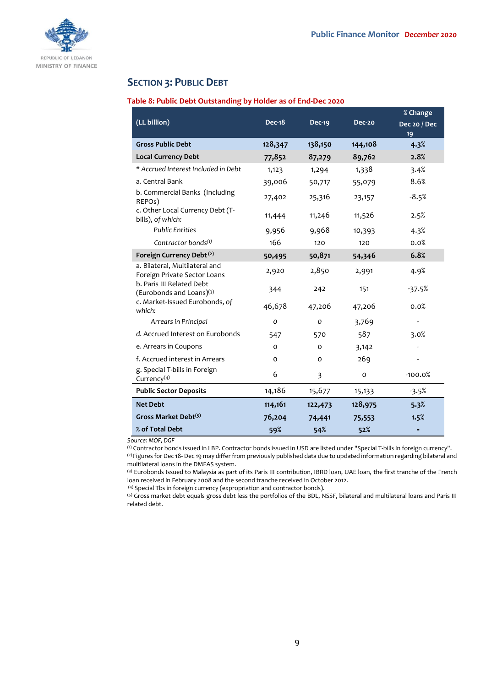

## **SECTION 3: PUBLIC DEBT**

## **Table 8: Public Debt Outstanding by Holder as of End-Dec 2020**

|                                                                |               |               |         | % Change                  |
|----------------------------------------------------------------|---------------|---------------|---------|---------------------------|
| (LL billion)                                                   | <b>Dec-18</b> | <b>Dec-19</b> | Dec-20  | <b>Dec 20 / Dec</b><br>19 |
| <b>Gross Public Debt</b>                                       | 128,347       | 138,150       | 144,108 | 4.3%                      |
| <b>Local Currency Debt</b>                                     | 77,852        | 87,279        | 89,762  | 2.8%                      |
| * Accrued Interest Included in Debt                            | 1,123         | 1,294         | 1,338   | 3.4%                      |
| a. Central Bank                                                | 39,006        | 50,717        | 55,079  | 8.6%                      |
| b. Commercial Banks (Including<br>REPOs)                       | 27,402        | 25,316        | 23,157  | $-8.5%$                   |
| c. Other Local Currency Debt (T-<br>bills), of which:          | 11,444        | 11,246        | 11,526  | 2.5%                      |
| <b>Public Entities</b>                                         | 9,956         | 9,968         | 10,393  | 4.3%                      |
| Contractor bonds $(1)$                                         | 166           | 120           | 120     | 0.0%                      |
| Foreign Currency Debt <sup>(2)</sup>                           | 50,495        | 50,871        | 54,346  | 6.8%                      |
| a. Bilateral, Multilateral and<br>Foreign Private Sector Loans | 2,920         | 2,850         | 2,991   | 4.9%                      |
| b. Paris III Related Debt<br>(Eurobonds and Loans)(3)          | 344           | 242           | 151     | $-37.5%$                  |
| c. Market-Issued Eurobonds, of<br>which:                       | 46,678        | 47,206        | 47,206  | 0.0%                      |
| Arrears in Principal                                           | O             | O             | 3,769   |                           |
| d. Accrued Interest on Eurobonds                               | 547           | 570           | 587     | 3.0%                      |
| e. Arrears in Coupons                                          | 0             | o             | 3,142   |                           |
| f. Accrued interest in Arrears                                 | O             | O             | 269     |                           |
| g. Special T-bills in Foreign<br>Currency $(4)$                | 6             | 3             | 0       | $-100.0%$                 |
| <b>Public Sector Deposits</b>                                  | 14,186        | 15,677        | 15,133  | $-3.5%$                   |
| <b>Net Debt</b>                                                | 114,161       | 122,473       | 128,975 | 5.3%                      |
| Gross Market Debt <sup>(5)</sup>                               | 76,204        | 74,441        | 75,553  | 1.5%                      |
| % of Total Debt                                                | 59%           | 54%           | 52%     |                           |

*Source: MOF, DGF*

(1) Contractor bonds issued in LBP. Contractor bonds issued in USD are listed under "Special T-bills in foreign currency". (2) Figures for Dec 18- Dec 19 may differ from previously published data due to updated information regarding bilateral and multilateral loans in the DMFAS system.

(3) Eurobonds Issued to Malaysia as part of its Paris III contribution, IBRD loan, UAE loan, the first tranche of the French loan received in February 2008 and the second tranche received in October 2012.

(4) Special Tbs in foreign currency (expropriation and contractor bonds).

(5) Gross market debt equals gross debt less the portfolios of the BDL, NSSF, bilateral and multilateral loans and Paris III related debt.